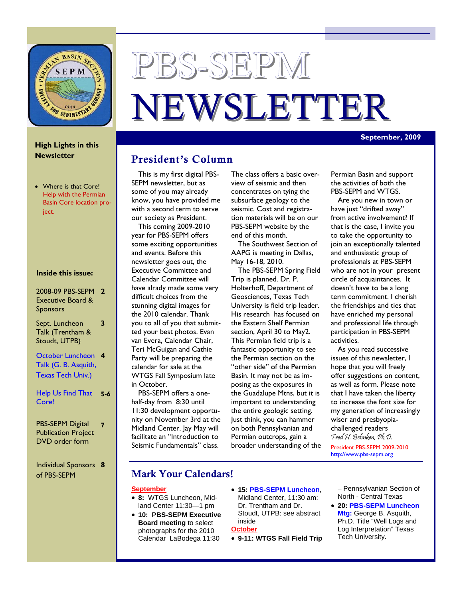

# PBS-SEPM NEWSLETTER

#### **September, 2009**

#### **High Lights in this Newsletter**

• Where is that Core! Help with the Permian Basin Core location project.

#### **Inside this issue:**

#### 2008-09 PBS-SEPM **2**  Executive Board & **Sponsors**

Sept. Luncheon Talk (Trentham & Stoudt, UTPB)

**3** 

October Luncheon **4**  Talk (G. B. Asquith, Texas Tech Univ.)

Help Us Find That **5-6**  Core!

PBS-SEPM Digital Publication Project DVD order form **7** 

Individual Sponsors **8** of PBS-SEPM

## President's Column

This is my first digital PBS-SEPM newsletter, but as some of you may already know, you have provided me with a second term to serve our society as President.

This coming 2009-2010 year for PBS-SEPM offers some exciting opportunities and events. Before this newsletter goes out, the Executive Committee and Calendar Committee will have alrady made some very difficult choices from the stunning digital images for the 2010 calendar. Thank you to all of you that submitted your best photos. Evan van Evera, Calendar Chair, Teri McGuigan and Cathie Party will be preparing the calendar for sale at the WTGS Fall Symposium late in October.

PBS-SEPM offers a onehalf-day from 8:30 until 11:30 development opportunity on November 3rd at the Midland Center. Jay May will facilitate an "Introduction to Seismic Fundamentals" class.

The class offers a basic overview of seismic and then concentrates on tying the subsurface geology to the seismic. Cost and registration materials will be on our PBS-SEPM website by the end of this month.

The Southwest Section of AAPG is meeting in Dallas, May 16-18, 2010.

The PBS-SEPM Spring Field Trip is planned. Dr. P. Holterhoff, Department of Geosciences, Texas Tech University is field trip leader. His research has focused on the Eastern Shelf Permian section, April 30 to May2. This Permian field trip is a fantastic opportunity to see the Permian section on the "other side" of the Permian Basin. It may not be as imposing as the exposures in the Guadalupe Mtns, but it is important to understanding the entire geologic setting. Just think, you can hammer on both Pennsylvanian and Permian outcrops, gain a broader understanding of the Permian Basin and support the activities of both the PBS-SEPM and WTGS.

Are you new in town or have just "drifted away" from active involvement? If that is the case, I invite you to take the opportunity to join an exceptionally talented and enthusiastic group of professionals at PBS-SEPM who are not in your present circle of acquaintances. It doesn't have to be a long term commitment. I cherish the friendships and ties that have enriched my personal and professional life through participation in PBS-SEPM activities.

As you read successive issues of this newsletter, I hope that you will freely offer suggestions on content, as well as form. Please note that I have taken the liberty to increase the font size for my generation of increasingly wiser and presbyopiachallenged readers Fred H. Behnken, Ph.D. President PBS-SEPM 2009-2010 http://www.pbs-sepm.org

#### Mark Your Calendars!

#### **September**

- **8:** WTGS Luncheon, Midland Center 11:30—1 pm
- **10: PBS-SEPM Executive Board meeting** to select photographs for the 2010 Calendar LaBodega 11:30
- **15: PBS-SEPM Luncheon**, Midland Center, 11:30 am: Dr. Trentham and Dr. Stoudt, UTPB: see abstract inside

#### **October**

• **9-11: WTGS Fall Field Trip** 

– Pennsylvanian Section of North - Central Texas

• **20: PBS-SEPM Luncheon Mtg:** George B. Asquith, Ph.D. Title "Well Logs and Log Interpretation" Texas Tech University.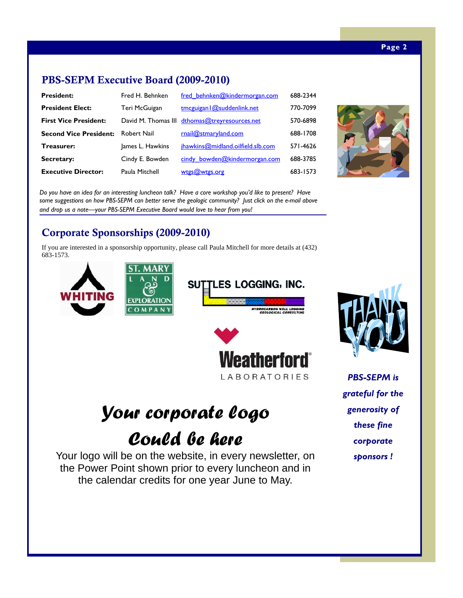# PBS-SEPM Executive Board (2009-2010)

| <b>President:</b>             | Fred H. Behnken  | fred behnken@kindermorgan.com                 | 688-2344 |
|-------------------------------|------------------|-----------------------------------------------|----------|
| <b>President Elect:</b>       | Teri McGuigan    | tmcguigan $ $ @suddenlink.net                 | 770-7099 |
| <b>First Vice President:</b>  |                  | David M. Thomas III dthomas@treyresources.net | 570-6898 |
| <b>Second Vice President:</b> | Robert Nail      | rnail@stmaryland.com                          | 688-1708 |
| <b>Treasurer:</b>             | James L. Hawkins | jhawkins@midland.oilfield.slb.com             | 571-4626 |
| Secretary:                    | Cindy E. Bowden  | cindy bowden@kindermorgan.com                 | 688-3785 |
| <b>Executive Director:</b>    | Paula Mitchell   | wtgs@wtgs.org                                 | 683-1573 |



*Do you have an idea for an interesting luncheon talk? Have a core workshop you'd like to present? Have some suggestions on how PBS-SEPM can better serve the geologic community? Just click on the e-mail above and drop us a note—your PBS-SEPM Executive Board would love to hear from you!* 

# Corporate Sponsorships (2009-2010)

If you are interested in a sponsorship opportunity, please call Paula Mitchell for more details at (432) 683-1573.





# *Your corporate logo*

# *Could be here*

Your logo will be on the website, in every newsletter, on the Power Point shown prior to every luncheon and in the calendar credits for one year June to May.

*PBS-SEPM is grateful for the generosity of these fine corporate sponsors !*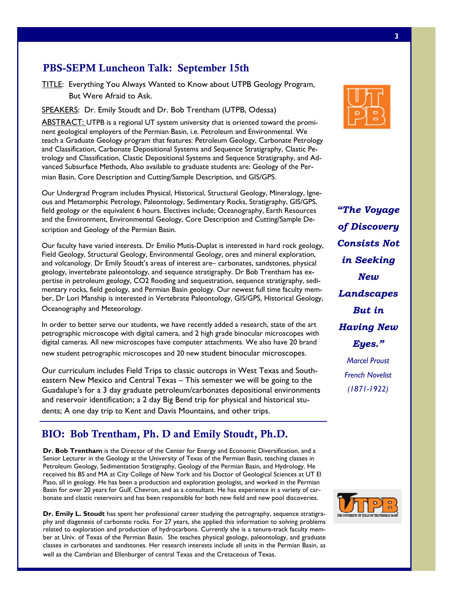## PBS-SEPM Luncheon Talk: September 15th

But Were Afraid to Ask. TITLE: Everything You Always Wanted to Know about UTPB Geology Program,

<u>SPEAKERS</u>: Dr. Emily Stoudt and Dr. Bob Trentham (UTPB, Odessa)

ABSTRACT: ABSTRACT: UTPB is a regional UT system university that is oriented toward the prominent geological employers of the Ferman basin, her Fea oleant and Environmental. The<br>teach a Graduate Geology program that features: Petroleum Geology, Carbonate Petrology nels in real time. and Classification, Carbonate Depositional Systems and Sequence Stratigraphy, Clastic Petrology and Classification, Clastic Depositional Systems and Sequence Stratigraphy, and Advanced Subsurface Methods, Also available to graduate students are: Geology of the Permian Basin, Core Description and Cutting/Sample Description, and GIS/GPS. nent geological employers of the Permian Basin, i.e. Petroleum and Environmental. We

Our Undergrad Program includes Physical, Historical, Structural Geology, Mineralogy, Ignefield geology or the equivalent 6 hours. Electives include; Oceanography, Earth Resources and the Environment, Environmental Geology, Core Description and Cutting/Sample Description and Geology of the Permian Basin.  $\mathbf{r}$  batteries solar power is used to re-charge the conventional batteries for backup power and nightous and Metamorphic Petrology, Paleontology, Sedimentary Rocks, Stratigraphy, GIS/GPS,

that uses a hybrid of copper and fiber optic transmission media to support the high data volumes. The high data volumes  $\sim$ 

Our faculty have varied interests. Dr Emilio Mutis-Duplat is interested in hard rock geology,  $S^{\text{S}}$  Scoled and the driven actual and volcanology. Dr Emily Stoudt's areas of interest are– carbonates, sandstones, physical geology, invertebrate paleontology, and sequence stratigraphy. Dr Bob Trentham has exmentary rocks, field geology, and Permian Basin geology. Our newest full time faculty member, Dr Lori Manship is interested in Vertebrate Paleontology, GIS/GPS, Historical Geology,<br>Oceanography and Meteorology. Field Geology, Structural Geology, Environmental Geology, ores and mineral exploration, pertise in petroleum geology, CO2 flooding and sequestration, sequence stratigraphy, sedi-

Oceanography and Meteorology.

In order to better serve our students, we have recently added a research, state of the art mels of uncorrelated vibroseis data turnaround and the second single-sensor data turnaround and single-sensor d<br>petrographic microscope with digital camera, and 2 high grade binocular microscopes with the  $\sigma_{\rm X}$  algebra method corresponds the recording truck and a dedicated field system of  $\sigma_{\rm X}$  and a dedicated field system. The recording truck and a dedicated field system of  $\sigma_{\rm X}$ digital cameras. All new microscopes have computer attachments. We also have 20 brand new student petrographic microscopes and 20 new student binocular microscopes.

eastern New Mexico and Central Texas – This semester we will be going to the and reservoir identification; a 2 day Big Bend trip for physical and historical stu-Our curriculum includes Field Trips to classic outcrops in West Texas and South-Guadalupe's for a 3 day graduate petroleum/carbonates depositional environments

dents; A one day trip to Kent and Davis Mountains, and other trips.

#### BIO: Bob Trentham, Ph. D and Emily Stoudt, Ph.D.

**Dr. Bob Trentham** is the Director of the Center for Energy and Economic Diversification, and a Senior Lecturer in the Geology at the University of Texas of the Permian Basin, teaching classes in Petroleum Geology, Sedimentation Stratigraphy, Geology of the Permian Basin, and Hydrology. He received his BS and MA at City College of New York and his Doctor of Geological Sciences at UT El Paso, all in geology. He has been a production and exploration geologist, and worked in the Permian bonate and clastic reservoirs and has been responsible for both new field and new pool discoveries. Basin for over 20 years for Gulf, Chevron, and as a consultant. He has experience in a variety of car-

**Dr. Emily L. Stoudt** has spent her professional career phy and diagenesis of carbonate rocks. For 27 years, she applied this information to solving problems Telated to exploration and production of hydrocarbons. Currently site is a tendre-track factile, inem-<br>ber at Univ. of Texas of the Permian Basin. She teaches physical geology, paleontology, and graduate **Dr. Emily L. Stoudt** has spent her professional career studying the petrography, sequence stratigrarelated to exploration and production of hydrocarbons. Currently she is a tenure-track faculty memclasses in carbonates and sandstones. Her research interests include all units in the Permian Basin, as well as the Cambrian and Ellenburger of central Texas and the Cretaceous of Texas.



*of Discovery "The Voyage Consists Not in Seeking New Landscapes But in Having New Eyes." Marcel Proust French Novelist (1871-1922)* 

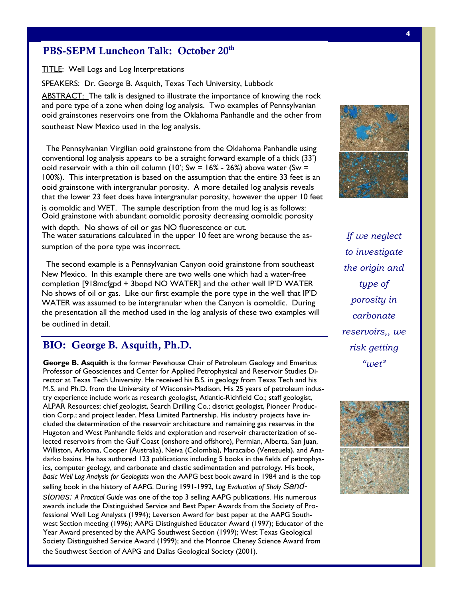#### PBS-SEPM Luncheon Talk: October 20<sup>th</sup>

TITLE: Well Logs and Log Interpretations

SPEAKERS: Dr. George B. Asquith, Texas Tech University, Lubbock

ABSTRACT: The talk is designed to illustrate the importance of knowing the rock and pore type or a zone when doing log analysis. Two examples or remisjivamant and the other from southeast New Mexico used in the log analysis. and pore type of a zone when doing log analysis. Two examples of Pennsylvanian

The Pennsylvanian Virgilian ooid grainstone from the Oklahoma Panhandle using conventional log analysis appears to be a straight forward example of a thick (33') ooid reservoir with a thin oil column (10'; Sw = 16% - 26%) above water (Sw = 100%). This interpretation is based on the assumption that the entire 33 feet is an ooid grainstone with intergranular porosity.  $\overline{\mathsf{A}}$  more detailed log analysis reveals bold gramstone with meergranular porosity. The climated to detail and subsetsed to our provide that the lower 23 feet does have intergranular porosity, however the upper 10 feet  $\sum_{i=1}^{\infty}$ Ooid grainstone with abundant oomoldic porosity decreasing oomoldic porosity with depth. No shows of oil or gas NO fluorescence or cut. The water saturations calculated in the upper 10 feet are wrong because the asis oomoldic and WET. The sample description from the mud log is as follows:

sumption of the pore type was incorrect.

Source driven acquisition The second example is a Pennsylvanian Canyon ooid grainstone from southeast New Mexico. In this example there are two wells one which had a water-free No shows of oil or gas. Like our first example the pore type in the well that IP'D Integration of activities of activities and processing through the  $\zeta$  control  $\zeta$  and  $\zeta$  and  $\zeta$  and  $\zeta$  and  $\zeta$  and  $\zeta$  and  $\zeta$  and  $\zeta$  and  $\zeta$  and  $\zeta$  and  $\zeta$  and  $\zeta$  and  $\zeta$  and  $\zeta$  and WATER was assumed to be intergranular when the Canyon is oomoldic. During be outlined in detail. The data volumes involved in processing 30,000 channels of uncorrelated vibroseis data, and dramatically reduces Q-Land single-sensor data turnaround completion [918mcfgpd + 3bopd NO WATER] and the other well IP'D WATER the presentation all the method used in the log analysis of these two examples will

#### time. The Q-Xpress hardware resides in both the recording truck and a dedicated field system. The BIO: George B. Asquith, Ph.D.

George B. Asquith is the former Pevehouse Chair of Petroleum Geology and Emeritus rector at Texas Tech University. He received his B.S. in geology from Texas Tech and his try experience include work as research geologist, Atlantic-Richfield Co.; staff geologist, Williston, Arkoma, Cooper (Australia), Neiva (Colombia), Maracaibo (Venezuela), and Anadarko basins. He has authored 123 publications including 5 books in the fields of petrophysics, computer geology, and carbonate and clastic sedimentation and petrology. His book, Basic Well Log Analysis for Geologists won the AAPG best book award in 1984 and is the top selling book in the history of AAPG. During 1991-1992, Log Evaluation of Shaly Sandcluded the determination of the reservoir architecture and remaining gas reserves in the Professor of Geosciences and Center for Applied Petrophysical and Reservoir Studies Di-M.S. and Ph.D. from the University of Wisconsin-Madison. His 25 years of petroleum indus-ALPAR Resources; chief geologist, Search Drilling Co.; district geologist, Pioneer Production Corp.; and project leader, Mesa Limited Partnership. His industry projects have in-Hugoton and West Panhandle fields and exploration and reservoir characterization of selected reservoirs from the Gulf Coast (onshore and offshore), Permian, Alberta, San Juan,

*stones: A Practical Guide* was one of the top 3 selling AAPG publications. His numerous fessional Well Log Analysts (1994); Leverson Award for best paper at the AAPG Southwest Section meeting (1996); AAPG Distinguished Educator Award (1997); Educator of the Year Award presented by the AAPG Southwest Section (1999); West Texas Geological awards include the Distinguished Service and Best Paper Awards from the Society of Pro-Society Distinguished Service Award (1999); and the Monroe Cheney Science Award from the Southwest Section of AAPG and Dallas Geological Society (2001).



*days of acquisition" If we neglect to investigate the origin and type of porosity in carbonate reservoirs,, we risk getting "wet"* 

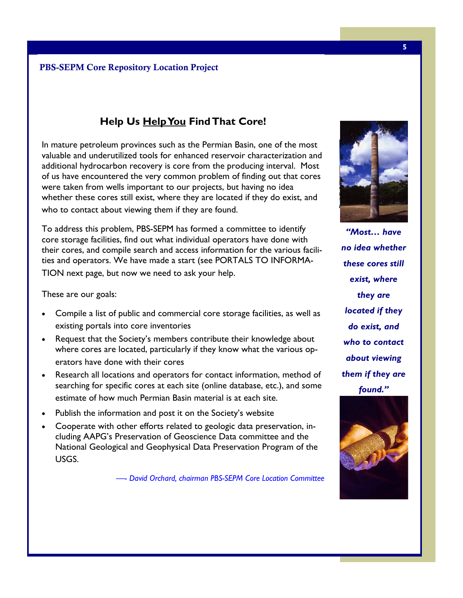# **Help Us Help You Find That Core!**

In mature petroleum provinces such as the Permian Basin, one of the most valuable and under dem additional hydrocarbon recovery is core from the producing interval. Most of us have encountered the very common problem of finding out that cores were taken from wells important to our projects, but having no idea were taken from wells important to our projects, but having no idea who to contact about viewing them if they are found. valuable and underutilized tools for enhanced reservoir characterization and whether these cores still exist, where they are located if they do exist, and

To address this problem, PBS-SEPM has formed a committee to identify the excess solar power is used to re-charge the conventional batteries for backup power and nightcore storage facilities, find out what individual operators have done with ties and operators. We have made a start (see PORTALS TO INFORMA- $T_{\rm eff}$  interfaces with third-party source control electronics in the recording source control electronics in the recording source control electronics in the recording source control electronics in the recording source c TION next page, but now we need to ask your help. their cores, and compile search and access information for the various facili-

 $\tau$ hoso are que goals: These are our goals:  $\overline{\phantom{a}}$ 

- $\bullet$  Compile a list of public and commercial core storage facilities, as well as The Q-Land Q-Xpress system efficiently handles the data volumes involved in processing 30,000 chanexisting portals into core inventories Q-Land single-sensor data turns and single-sensor data turns
- Request that the Society's members contribute their knowledge about whore serse are  $\epsilon$  forted particularly if they know what the various op where cores are located, particularly if they know what the various operators have done with their cores enhanced processing. The enhanced processing. The enhanced processing. The
- Research all locations and operators for contact information, method of estimate of how much Permian Basin material is at each site. searching for specific cores at each site (online database, etc.), and some
- Publish the information and post it on the Society's website
- National Geological and Geophysical Data Preservation Program of the  $\overline{\text{USGS}}$ . His industry experience relating to  $\overline{\text{USGS}}$ .  $\blacksquare$ • Cooperate with other efforts related to geologic data preservation, including AAPG's Preservation of Geoscience Data committee and the USGS.

-- *David Orchard, chairman PBS-SEPM Core Location Committee*  $\mathcal{F}_{\mathcal{F}}$  years in-house project management management management management management management management management management management management management management management management management managem



*"Most… have no idea whether these cores still exist, where they are located if they do exist, and who to contact about viewing them if they are found."* 

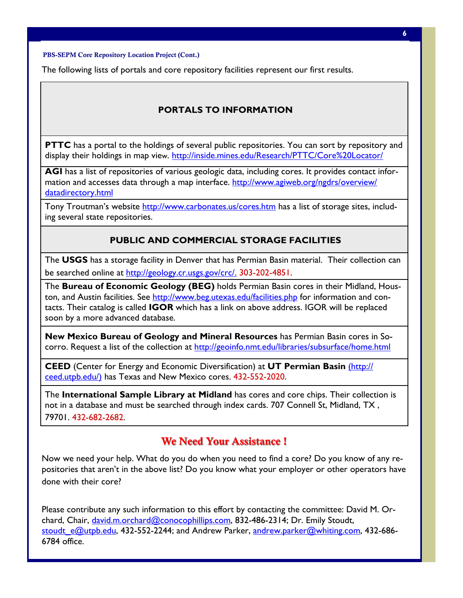*field cube to be produced within a few* 

PBS-SEPM Core Repository Location Project (Cont.)

The following lists of portals and core repository facilities represent our first results.

 $\mathcal{L}_\text{c}$  and processing system and processing system capabilities of acquiring up to 30,000 chan-

ogy that minimizes battery management logistics and environmental footprint. In areas of  $\mathcal{A}$ 

#### *PORTALS TO INFORMATION*

**PTTC** has a portal to the holdings of several public repositories. You can sort by repository and display their holdings in map view. http://inside.mines.edu/Research/PTTC/Core%20Locator/

ACL has a list of repositories of various geologic data including genes. It an AGI has a list of repositories of various geologic data, including cores. It provides contact information and accesses data through a map interface. http://www.agiweb.org/ngdrs/overview/ datadirectory.html and designed to operate and designed to operate and desert climates. The contract contract contract contract contract contract contract contract contract contract contract contract contract contract cont

Tony Troutman's website http://www.carbonates.us/cores.htm has a list of storage sites, including several state repositories. The solar panels and conventional battery technology technology technology tech

# **The excess solar power is used to re-charge the conventional batteries for and night-**

The USGS has a storage facility in Denver that has Permian Basin material. Their collection can  $T_{\rm eff}$  interfaces with the  $\frac{1}{2}$  interfaces with third-party source control electronics in the recording to recording the recording to  $T_{\rm eff}$ be searched online at http://geology.cr.usgs.gov/crc/. 303-202-4851.

The **Bureau of Economic Geology (BEG)** holds Permian Basin cores in their Midland, Houston, and Austin facilities. See http://www.beg.utexas.edu/facilities.php for information and contacts. Their catalog is called **IGOR** which has a link on above address. IGOR will be replaced soon by a more advanced database.

nels of uncorrelated vibroseis data, and dramatically reduces Q-Land single-sensor data turnaround New Mexico Bureau of Geology and Mineral Resources has Permian Basin cores in Socorro. Request a list of the collection at http://geoinfo.nmt.edu/libraries/subsurface/home.html many processing centers. The field deliverable data and field cubes) are sent to the field cubes) are sent to the field cubes

**CEED** (Center for Energy and Economic Diversification) at **UT Permian Basin** (http:// <u>ceed.utpb.edu/)</u> has Texas and New Mexico cores. 432-552-2020.

The **International Sample Library at Midland** has cores and core chips. Their collection is not in a database and must be searched through index cards. 707 Connell St, Midland, TX , 79701. 432-682-2682.

#### We Need Your Assistance !

Now we need your help. What do you do when you need to find a core? Do you know of any repositories that aren't in the above list? Do you know what your employer or other operators have • 3 years onboard acquisition, processing, and QC done with their core?

Please contribute any such information to this effort by contacting the committee: David M. Orchard, Chair, <u>david.m.orchard@conocophillips.com</u>, 832-486-2314; Dr. Emily Stoudt, <u>stoudt\_e@utpb.edu</u>, 432-552-2244; and Andrew Parker, <u>andrew.parker@whiting.com</u>, 432-686-<br>478.1 - 10 6784 office.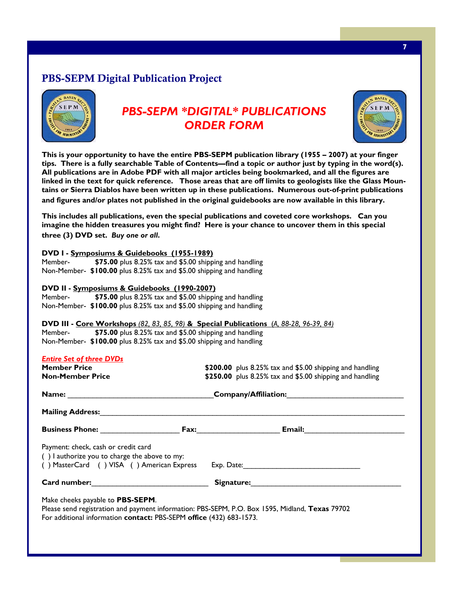# PBS-SEPM Digital Publication Project



# *PBS-SEPM \*DIGITAL\* PUBLICATIONS ORDER FORM*



**This is your opportunity to have the entire PBS-SEPM publication library (1955 – 2007) at your finger tips. There is a fully searchable Table of Contents—find a topic or author just by typing in the word(s). All publications are in Adobe PDF with all major articles being bookmarked, and all the figures are linked in the text for quick reference. Those areas that are off limits to geologists like the Glass Mountains or Sierra Diablos have been written up in these publications. Numerous out-of-print publications and figures and/or plates not published in the original guidebooks are now available in this library.** 

**This includes all publications, even the special publications and coveted core workshops. Can you imagine the hidden treasures you might find? Here is your chance to uncover them in this special three (3) DVD set.** *Buy one or all***.** 

| DVD I - Symposiums & Guidebooks (1955-1989) |                                                                      |  |  |
|---------------------------------------------|----------------------------------------------------------------------|--|--|
| Member-                                     | \$75.00 plus 8.25% tax and \$5.00 shipping and handling              |  |  |
|                                             | Non-Member- \$100.00 plus 8.25% tax and \$5.00 shipping and handling |  |  |
|                                             |                                                                      |  |  |
|                                             |                                                                      |  |  |
|                                             | DVD II - <u>Symposiums &amp; Guidebooks (1990-2007)</u>              |  |  |
| Member-                                     | \$75.00 plus 8.25% tax and \$5.00 shipping and handling              |  |  |

## **DVD III - Core Workshops** *(82, 83, 85, 98)* **& Special Publications** (*A, 88-28, 96-39, 84)*

Member- **\$75.00** plus 8.25% tax and \$5.00 shipping and handling Non-Member- **\$100.00** plus 8.25% tax and \$5.00 shipping and handling

| <b>Entire Set of three DVDs</b><br><b>Member Price</b><br><b>Non-Member Price</b>                                                                                                                                  | \$200.00 plus 8.25% tax and \$5.00 shipping and handling<br>\$250.00 plus 8.25% tax and \$5.00 shipping and handling                                                                                                           |  |  |
|--------------------------------------------------------------------------------------------------------------------------------------------------------------------------------------------------------------------|--------------------------------------------------------------------------------------------------------------------------------------------------------------------------------------------------------------------------------|--|--|
|                                                                                                                                                                                                                    | Company/Affiliation: Company/Affiliation:                                                                                                                                                                                      |  |  |
|                                                                                                                                                                                                                    |                                                                                                                                                                                                                                |  |  |
|                                                                                                                                                                                                                    |                                                                                                                                                                                                                                |  |  |
| Payment: check, cash or credit card<br>() lauthorize you to charge the above to my:                                                                                                                                | () MasterCard () VISA () American Express Exp. Date: ___________________________                                                                                                                                               |  |  |
| Card number: <u>card number</u>                                                                                                                                                                                    | Signature: the contract of the contract of the contract of the contract of the contract of the contract of the contract of the contract of the contract of the contract of the contract of the contract of the contract of the |  |  |
| Make cheeks payable to <b>PBS-SEPM</b> .<br>Please send registration and payment information: PBS-SEPM, P.O. Box 1595, Midland, Texas 79702<br>For additional information contact: PBS-SEPM office (432) 683-1573. |                                                                                                                                                                                                                                |  |  |